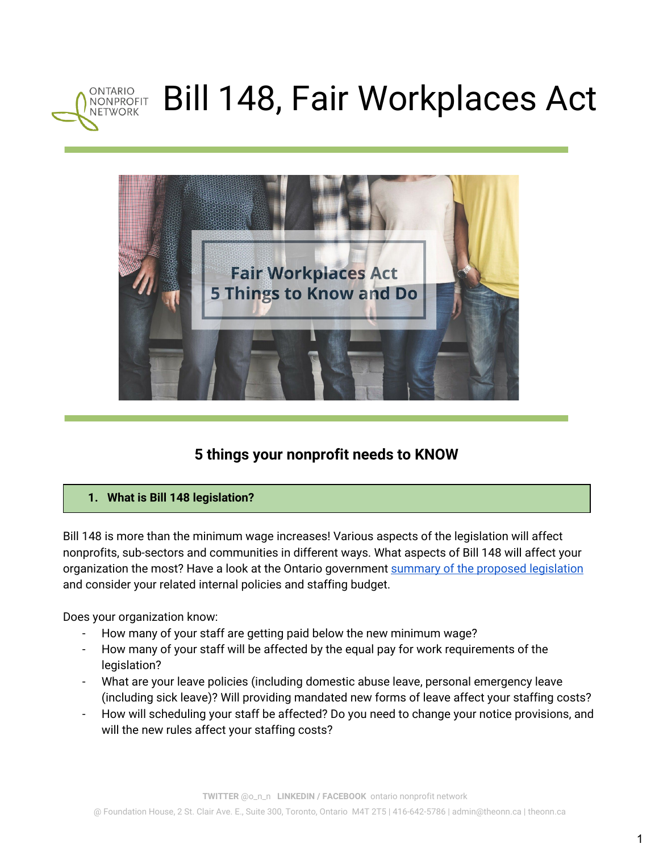



# **5 things your nonprofit needs to KNOW**

## **1. What is Bill 148 legislation?**

Bill 148 is more than the minimum wage increases! Various aspects of the legislation will affect nonprofits, sub-sectors and communities in different ways. What aspects of Bill 148 will affect your organization the most? Have a look at the Ontario government summary of the proposed [legislation](https://news.ontario.ca/mol/en/2017/10/bill-to-create-fair-workplaces-and-better-jobs-passes-second-reading.html) and consider your related internal policies and staffing budget.

Does your organization know:

- How many of your staff are getting paid below the new minimum wage?
- How many of your staff will be affected by the equal pay for work requirements of the legislation?
- What are your leave policies (including domestic abuse leave, personal emergency leave (including sick leave)? Will providing mandated new forms of leave affect your staffing costs?
- How will scheduling your staff be affected? Do you need to change your notice provisions, and will the new rules affect your staffing costs?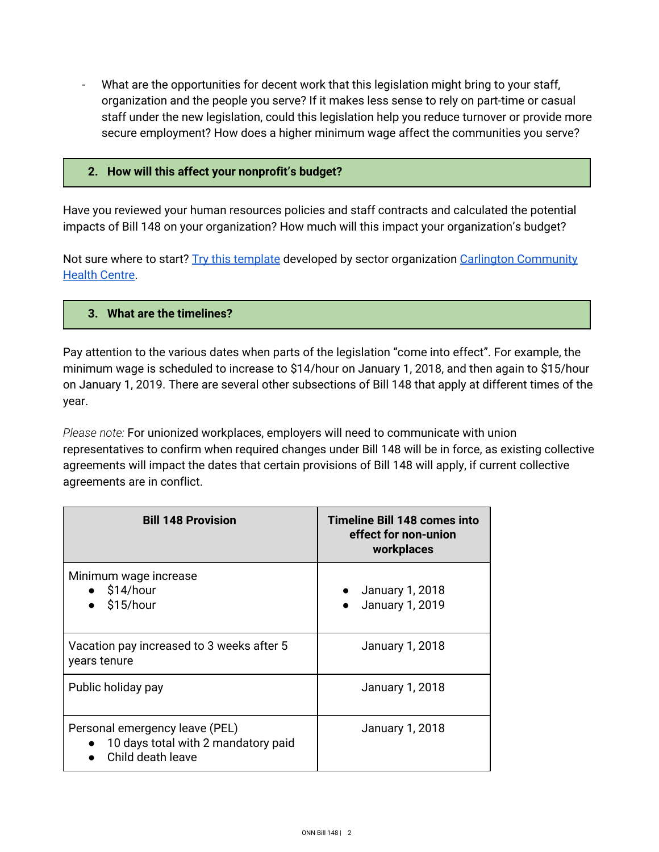- What are the opportunities for decent work that this legislation might bring to your staff, organization and the people you serve? If it makes less sense to rely on part-time or casual staff under the new legislation, could this legislation help you reduce turnover or provide more secure employment? How does a higher minimum wage affect the communities you serve?

#### **2. How will this affect your nonprofit's budget?**

Have you reviewed your human resources policies and staff contracts and calculated the potential impacts of Bill 148 on your organization? How much will this impact your organization's budget?

Not sure where to start? Try this [template](http://theonn.ca/wp-content/uploads/2017/10/ONN.TEMPLATE-Analyze-impact-of-Bill-148.ONN_.PUBLIC.2017-.pdf) developed by sector organization Carlington [Community](http://www.carlington.ochc.org/) [Health](http://www.carlington.ochc.org/) Centre.

#### **3. What are the timelines?**

Pay attention to the various dates when parts of the legislation "come into effect". For example, the minimum wage is scheduled to increase to \$14/hour on January 1, 2018, and then again to \$15/hour on January 1, 2019. There are several other subsections of Bill 148 that apply at different times of the year.

*Please note:* For unionized workplaces, employers will need to communicate with union representatives to confirm when required changes under Bill 148 will be in force, as existing collective agreements will impact the dates that certain provisions of Bill 148 will apply, if current collective agreements are in conflict.

| <b>Bill 148 Provision</b>                                                                    | <b>Timeline Bill 148 comes into</b><br>effect for non-union<br>workplaces |
|----------------------------------------------------------------------------------------------|---------------------------------------------------------------------------|
| Minimum wage increase<br>$\bullet$ \$14/hour<br>$\bullet$ \$15/hour                          | $\bullet$ January 1, 2018<br>January 1, 2019<br>$\bullet$                 |
| Vacation pay increased to 3 weeks after 5<br>years tenure                                    | January 1, 2018                                                           |
| Public holiday pay                                                                           | January 1, 2018                                                           |
| Personal emergency leave (PEL)<br>• 10 days total with 2 mandatory paid<br>Child death leave | January 1, 2018                                                           |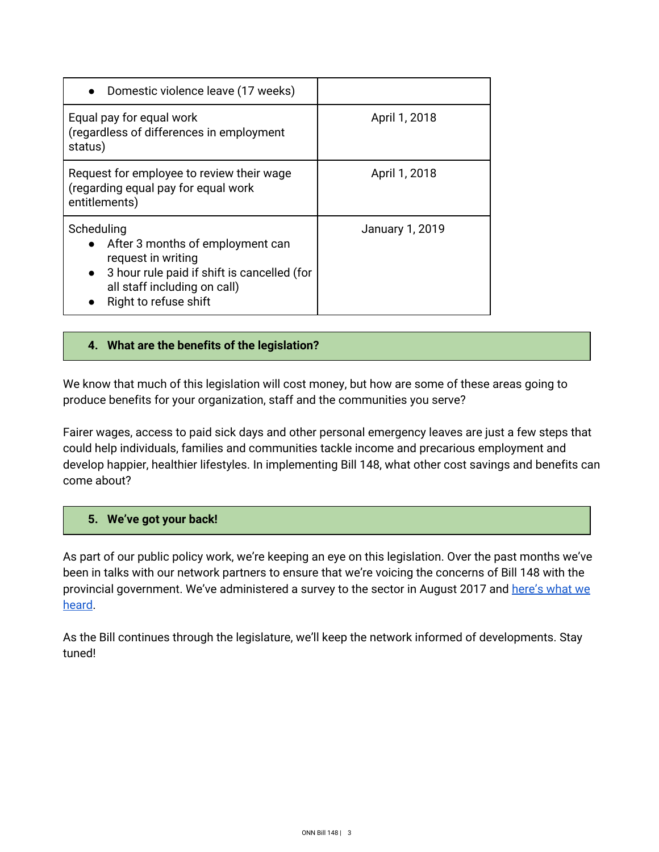| • Domestic violence leave (17 weeks)                                                                                                                                                        |                 |
|---------------------------------------------------------------------------------------------------------------------------------------------------------------------------------------------|-----------------|
| Equal pay for equal work<br>(regardless of differences in employment<br>status)                                                                                                             | April 1, 2018   |
| Request for employee to review their wage<br>(regarding equal pay for equal work<br>entitlements)                                                                                           | April 1, 2018   |
| Scheduling<br>• After 3 months of employment can<br>request in writing<br>3 hour rule paid if shift is cancelled (for<br>$\bullet$<br>all staff including on call)<br>Right to refuse shift | January 1, 2019 |

### **4. What are the benefits of the legislation?**

We know that much of this legislation will cost money, but how are some of these areas going to produce benefits for your organization, staff and the communities you serve?

Fairer wages, access to paid sick days and other personal emergency leaves are just a few steps that could help individuals, families and communities tackle income and precarious employment and develop happier, healthier lifestyles. In implementing Bill 148, what other cost savings and benefits can come about?

#### **5. We've got your back!**

As part of our public policy work, we're keeping an eye on this legislation. Over the past months we've been in talks with our network partners to ensure that we're voicing the concerns of Bill 148 with the provincial government. We've administered a survey to the sector in August 2017 and [here's](http://theonn.ca/wp-content/uploads/2017/10/ONN.Bill-148-sector-survey.Preliminary-findings.PUBLIC.2017.pdf) what we [heard](http://theonn.ca/wp-content/uploads/2017/10/ONN.Bill-148-sector-survey.Preliminary-findings.PUBLIC.2017.pdf).

As the Bill continues through the legislature, we'll keep the network informed of developments. Stay tuned!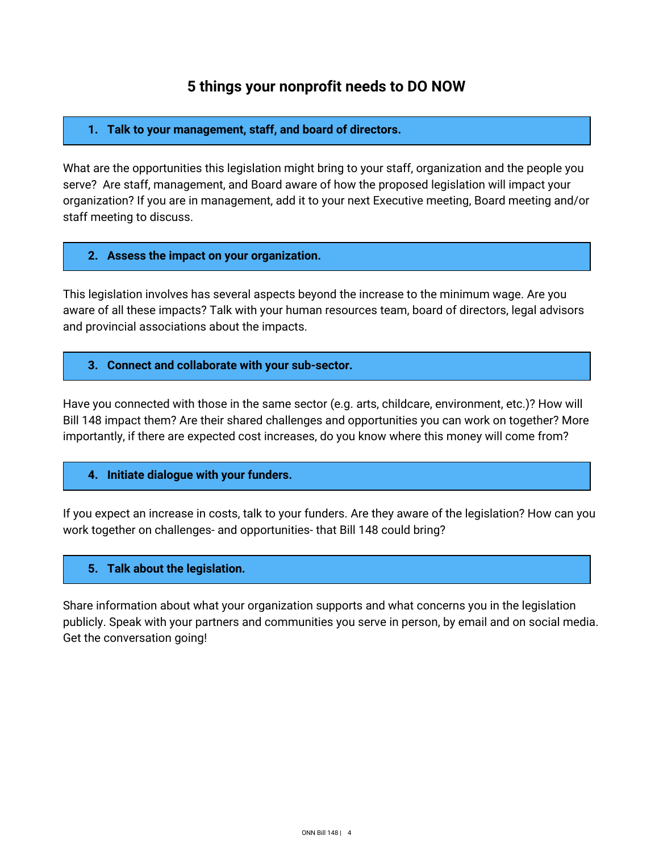## **5 things your nonprofit needs to DO NOW**

#### **1. Talk to your management, staff, and board of directors.**

What are the opportunities this legislation might bring to your staff, organization and the people you serve? Are staff, management, and Board aware of how the proposed legislation will impact your organization? If you are in management, add it to your next Executive meeting, Board meeting and/or staff meeting to discuss.

#### **2. Assess the impact on your organization.**

This legislation involves has several aspects beyond the increase to the minimum wage. Are you aware of all these impacts? Talk with your human resources team, board of directors, legal advisors and provincial associations about the impacts.

#### **3. Connect and collaborate with your sub-sector.**

Have you connected with those in the same sector (e.g. arts, childcare, environment, etc.)? How will Bill 148 impact them? Are their shared challenges and opportunities you can work on together? More importantly, if there are expected cost increases, do you know where this money will come from?

#### **4. Initiate dialogue with your funders.**

If you expect an increase in costs, talk to your funders. Are they aware of the legislation? How can you work together on challenges- and opportunities- that Bill 148 could bring?

#### **5. Talk about the legislation.**

Share information about what your organization supports and what concerns you in the legislation publicly. Speak with your partners and communities you serve in person, by email and on social media. Get the conversation going!